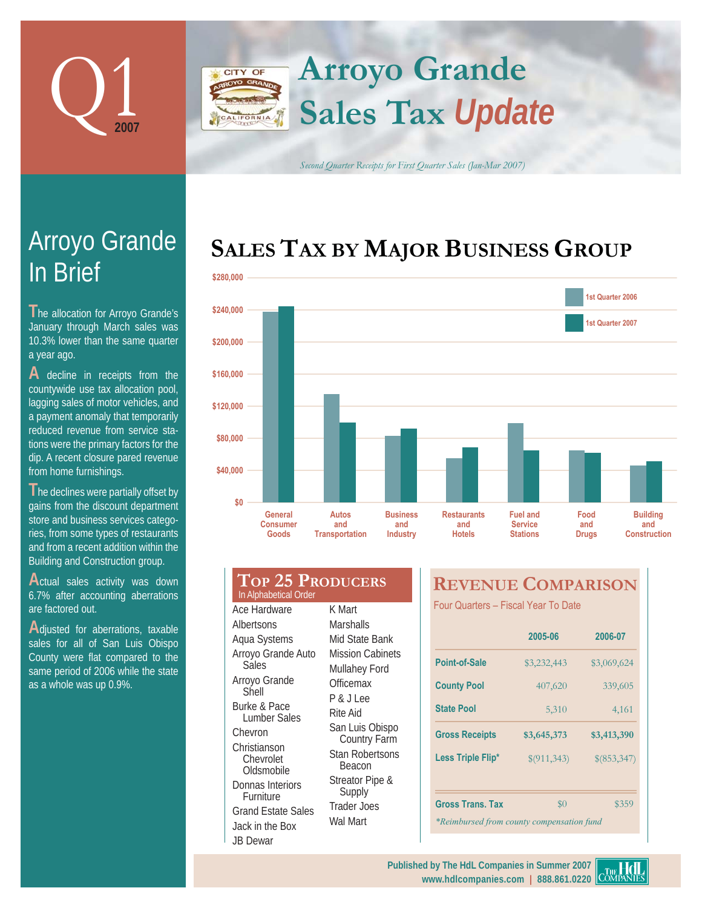

In Brief

a year ago.

**T** he allocation for Arroyo Grande's January through March sales was 10.3% lower than the same quarter

Arroyo Grande

**A** decline in receipts from the countywide use tax allocation pool, lagging sales of motor vehicles, and a payment anomaly that temporarily reduced revenue from service stations were the primary factors for the dip. A recent closure pared revenue

from home furnishings.

## **Arroyo Grande** CITY OF **Sales Tax** *Update* ALIFORNIA

*Second Quarter Receipts for First Quarter Sales (Jan-Mar 2007)*

# **SALES TAX BY MAJOR BUSINESS GROUP**



| \$160,000 |                                                  |                                       |                                           |                                            |                                                      |                             |
|-----------|--------------------------------------------------|---------------------------------------|-------------------------------------------|--------------------------------------------|------------------------------------------------------|-----------------------------|
| \$120,000 |                                                  |                                       |                                           |                                            |                                                      |                             |
| \$80,000  |                                                  |                                       |                                           |                                            |                                                      |                             |
| \$40,000  |                                                  |                                       |                                           |                                            |                                                      |                             |
| \$0       | General<br><b>Consumer</b><br>Goods              | Autos<br>and<br><b>Transportation</b> | <b>Business</b><br>and<br><b>Industry</b> | <b>Restaurants</b><br>and<br><b>Hotels</b> | <b>Fuel and</b><br><b>Service</b><br><b>Stations</b> | Food<br>and<br><b>Drugs</b> |
|           | <b>TOP 25 PRODUCERS</b><br>In Alphabetical Order |                                       |                                           | <b>REVENUE COMPARIS</b>                    |                                                      |                             |
|           | Ace Hardware                                     | K Mart                                |                                           | Four Quarters - Fiscal Year To Date        |                                                      |                             |

Actual sales activity was down 6.7% after accounting aberrations are factored out.

**T**he declines were partially offset by gains from the discount department store and business services categories, from some types of restaurants and from a recent addition within the Building and Construction group.

**A**djusted for aberrations, taxable sales for all of San Luis Obispo County were flat compared to the same period of 2006 while the state as a whole was up 0.9%.

| In Alphabetical Order                                                                                                                                                                                                                                                                  |                                                                                                                                                                                                                                                     |
|----------------------------------------------------------------------------------------------------------------------------------------------------------------------------------------------------------------------------------------------------------------------------------------|-----------------------------------------------------------------------------------------------------------------------------------------------------------------------------------------------------------------------------------------------------|
| Ace Hardware<br>Albertsons<br>Aqua Systems<br>Arroyo Grande Auto<br>Sales<br>Arroyo Grande<br>Shell<br>Burke & Pace<br>Lumber Sales<br>Chevron<br>Christianson<br>Chevrolet<br>Oldsmobile<br>Donnas Interiors<br>Furniture<br><b>Grand Estate Sales</b><br>Jack in the Box<br>JB Dewar | K Mart<br>Marshalls<br>Mid State Bank<br>Mission Cabinets<br>Mullahey Ford<br>Officemax<br>P&JLee<br>Rite Aid<br>San Luis Obispo<br>Country Farm<br><b>Stan Robertsons</b><br>Beacon<br>Streator Pipe &<br>Supply<br><b>Trader Joes</b><br>Wal Mart |
|                                                                                                                                                                                                                                                                                        |                                                                                                                                                                                                                                                     |

# **REVENUE COMPARISON**

|                                           | 2005-06     | 2006-07     |  |  |  |
|-------------------------------------------|-------------|-------------|--|--|--|
| Point-of-Sale                             | \$3,232,443 | \$3,069,624 |  |  |  |
| <b>County Pool</b>                        | 407,620     | 339,605     |  |  |  |
| <b>State Pool</b>                         | 5,310       | 4,161       |  |  |  |
| <b>Gross Receipts</b>                     | \$3,645,373 | \$3,413,390 |  |  |  |
| Less Triple Flip*                         | \$(911,343) | \$(853,347) |  |  |  |
|                                           |             |             |  |  |  |
| <b>Gross Trans. Tax</b>                   | $\$0$       | \$359       |  |  |  |
| *Reimbursed from county compensation fund |             |             |  |  |  |

#### **www.hdlcompanies.com | 888.861.0220 Published by The HdL Companies in Summer 2007**